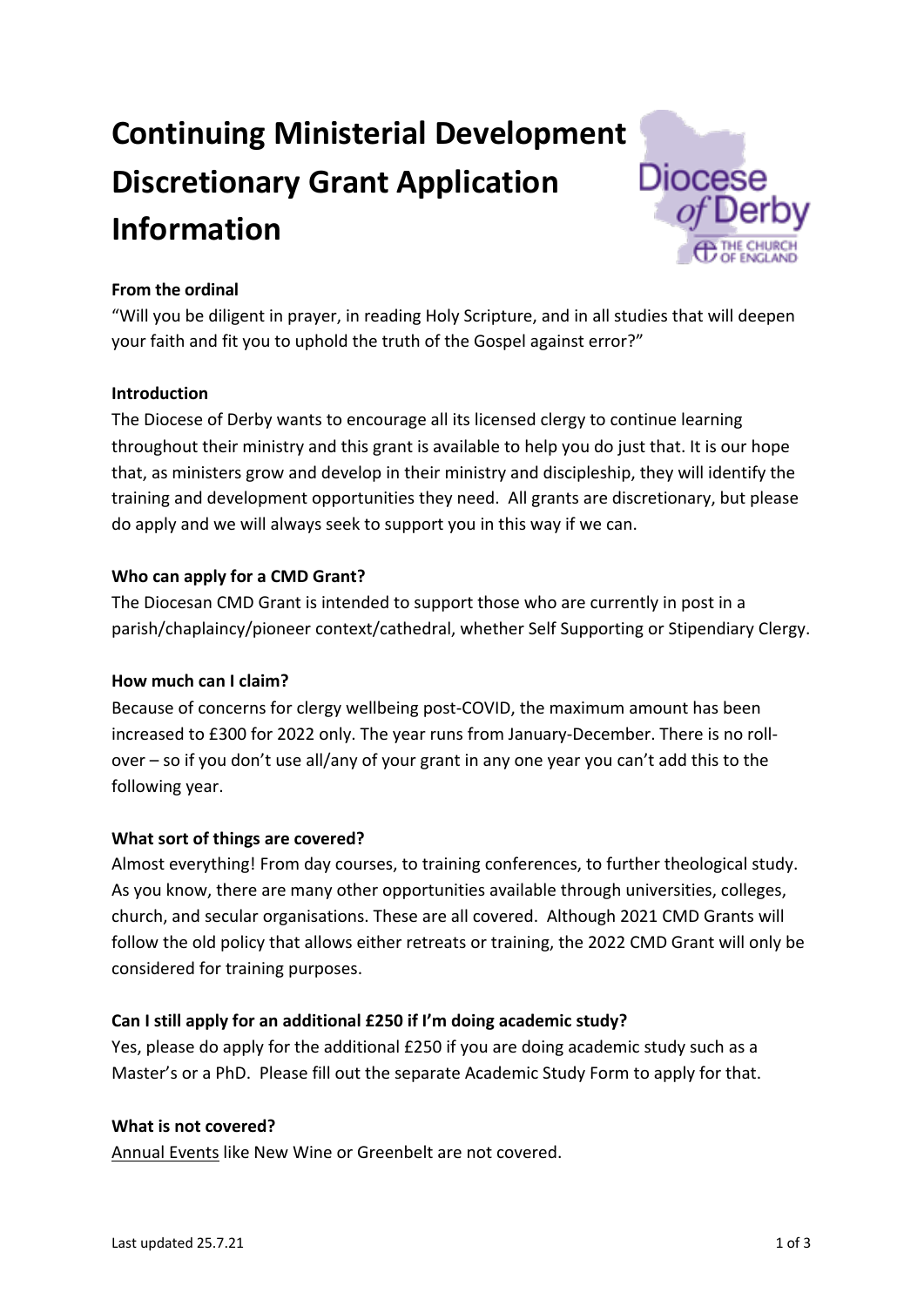# **Continuing Ministerial Development Discretionary Grant Application Information**



# **From the ordinal**

"Will you be diligent in prayer, in reading Holy Scripture, and in all studies that will deepen your faith and fit you to uphold the truth of the Gospel against error?"

# **Introduction**

The Diocese of Derby wants to encourage all its licensed clergy to continue learning throughout their ministry and this grant is available to help you do just that. It is our hope that, as ministers grow and develop in their ministry and discipleship, they will identify the training and development opportunities they need. All grants are discretionary, but please do apply and we will always seek to support you in this way if we can.

## **Who can apply for a CMD Grant?**

The Diocesan CMD Grant is intended to support those who are currently in post in a parish/chaplaincy/pioneer context/cathedral, whether Self Supporting or Stipendiary Clergy.

#### **How much can I claim?**

Because of concerns for clergy wellbeing post-COVID, the maximum amount has been increased to £300 for 2022 only. The year runs from January-December. There is no rollover – so if you don't use all/any of your grant in any one year you can't add this to the following year.

# **What sort of things are covered?**

Almost everything! From day courses, to training conferences, to further theological study. As you know, there are many other opportunities available through universities, colleges, church, and secular organisations. These are all covered. Although 2021 CMD Grants will follow the old policy that allows either retreats or training, the 2022 CMD Grant will only be considered for training purposes.

# **Can I still apply for an additional £250 if I'm doing academic study?**

Yes, please do apply for the additional £250 if you are doing academic study such as a Master's or a PhD. Please fill out the separate Academic Study Form to apply for that.

# **What is not covered?**

Annual Events like New Wine or Greenbelt are not covered.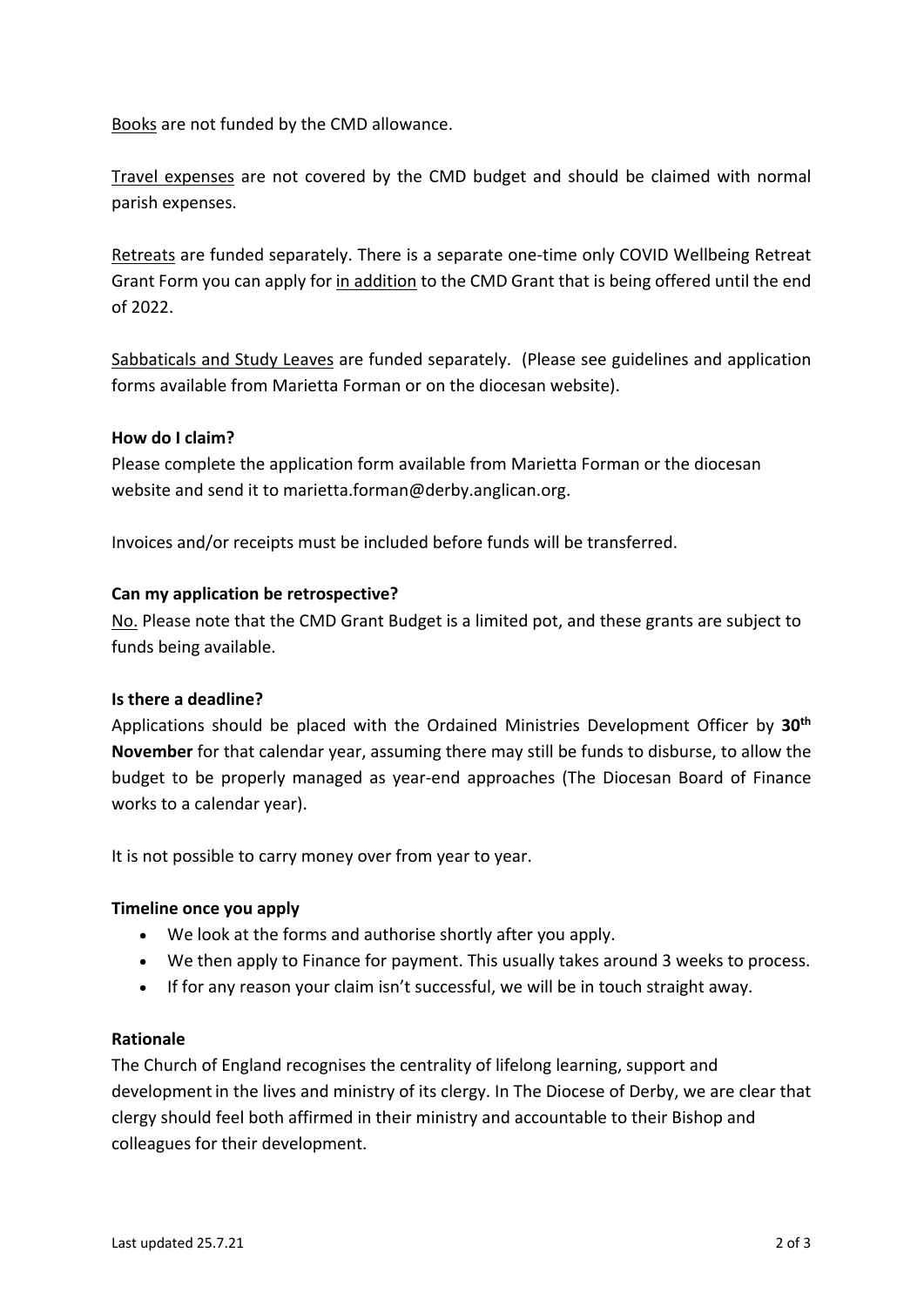Books are not funded by the CMD allowance.

Travel expenses are not covered by the CMD budget and should be claimed with normal parish expenses.

Retreats are funded separately. There is a separate one-time only COVID Wellbeing Retreat Grant Form you can apply for in addition to the CMD Grant that is being offered until the end of 2022.

Sabbaticals and Study Leaves are funded separately. (Please see guidelines and application forms available from Marietta Forman or on the diocesan website).

## **How do I claim?**

Please complete the application form available from Marietta Forman or the diocesan website and send it to marietta.forman@derby.anglican.org.

Invoices and/or receipts must be included before funds will be transferred.

## **Can my application be retrospective?**

No. Please note that the CMD Grant Budget is a limited pot, and these grants are subject to funds being available.

#### **Is there a deadline?**

Applications should be placed with the Ordained Ministries Development Officer by **30th November** for that calendar year, assuming there may still be funds to disburse, to allow the budget to be properly managed as year-end approaches (The Diocesan Board of Finance works to a calendar year).

It is not possible to carry money over from year to year.

#### **Timeline once you apply**

- We look at the forms and authorise shortly after you apply.
- We then apply to Finance for payment. This usually takes around 3 weeks to process.
- If for any reason your claim isn't successful, we will be in touch straight away.

#### **Rationale**

The Church of England recognises the centrality of lifelong learning, support and developmentin the lives and ministry of its clergy. In The Diocese of Derby, we are clear that clergy should feel both affirmed in their ministry and accountable to their Bishop and colleagues for their development.